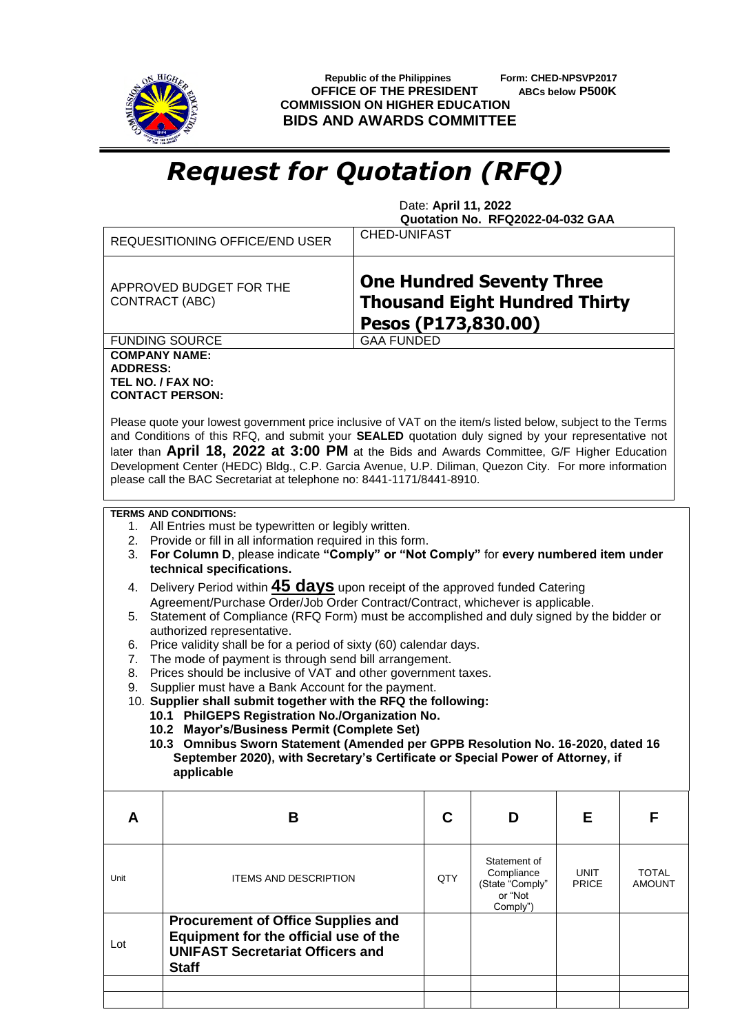

 **Republic of the Philippines Form: CHED-NPSVP2017 OFFICE OF THE PRESIDENT ABCs below P500K COMMISSION ON HIGHER EDUCATION BIDS AND AWARDS COMMITTEE**

## *Request for Quotation (RFQ)*

 Date: **April 11, 2022 Quotation No. RFQ2022-04-032 GAA**

|                                                                                                                                                                                                                                                                                                                                                                                                                                                                                                                                                                                                                                                                                                                                                                                                                                                                                                                                                                                                                                                                                                                                                                                                                                  | <b>REQUESITIONING OFFICE/END USER</b>                                                                                                         | <b>CHED-UNIFAST</b>                                                                             |     |                                                                      |                             |                               |  |
|----------------------------------------------------------------------------------------------------------------------------------------------------------------------------------------------------------------------------------------------------------------------------------------------------------------------------------------------------------------------------------------------------------------------------------------------------------------------------------------------------------------------------------------------------------------------------------------------------------------------------------------------------------------------------------------------------------------------------------------------------------------------------------------------------------------------------------------------------------------------------------------------------------------------------------------------------------------------------------------------------------------------------------------------------------------------------------------------------------------------------------------------------------------------------------------------------------------------------------|-----------------------------------------------------------------------------------------------------------------------------------------------|-------------------------------------------------------------------------------------------------|-----|----------------------------------------------------------------------|-----------------------------|-------------------------------|--|
|                                                                                                                                                                                                                                                                                                                                                                                                                                                                                                                                                                                                                                                                                                                                                                                                                                                                                                                                                                                                                                                                                                                                                                                                                                  | APPROVED BUDGET FOR THE<br><b>CONTRACT (ABC)</b>                                                                                              | <b>One Hundred Seventy Three</b><br><b>Thousand Eight Hundred Thirty</b><br>Pesos (P173,830.00) |     |                                                                      |                             |                               |  |
|                                                                                                                                                                                                                                                                                                                                                                                                                                                                                                                                                                                                                                                                                                                                                                                                                                                                                                                                                                                                                                                                                                                                                                                                                                  | <b>FUNDING SOURCE</b>                                                                                                                         | <b>GAA FUNDED</b>                                                                               |     |                                                                      |                             |                               |  |
| <b>COMPANY NAME:</b><br><b>ADDRESS:</b><br>TEL NO. / FAX NO:                                                                                                                                                                                                                                                                                                                                                                                                                                                                                                                                                                                                                                                                                                                                                                                                                                                                                                                                                                                                                                                                                                                                                                     | <b>CONTACT PERSON:</b>                                                                                                                        |                                                                                                 |     |                                                                      |                             |                               |  |
| Please quote your lowest government price inclusive of VAT on the item/s listed below, subject to the Terms<br>and Conditions of this RFQ, and submit your SEALED quotation duly signed by your representative not<br>later than April 18, 2022 at 3:00 PM at the Bids and Awards Committee, G/F Higher Education<br>Development Center (HEDC) Bldg., C.P. Garcia Avenue, U.P. Diliman, Quezon City. For more information<br>please call the BAC Secretariat at telephone no: 8441-1171/8441-8910.                                                                                                                                                                                                                                                                                                                                                                                                                                                                                                                                                                                                                                                                                                                               |                                                                                                                                               |                                                                                                 |     |                                                                      |                             |                               |  |
| <b>TERMS AND CONDITIONS:</b><br>1. All Entries must be typewritten or legibly written.<br>2. Provide or fill in all information required in this form.<br>3. For Column D, please indicate "Comply" or "Not Comply" for every numbered item under<br>technical specifications.<br>Delivery Period within <b>45 days</b> upon receipt of the approved funded Catering<br>4.<br>Agreement/Purchase Order/Job Order Contract/Contract, whichever is applicable.<br>Statement of Compliance (RFQ Form) must be accomplished and duly signed by the bidder or<br>5.<br>authorized representative.<br>Price validity shall be for a period of sixty (60) calendar days.<br>6.<br>The mode of payment is through send bill arrangement.<br>7.<br>Prices should be inclusive of VAT and other government taxes.<br>8.<br>Supplier must have a Bank Account for the payment.<br>9.<br>10. Supplier shall submit together with the RFQ the following:<br>10.1 PhilGEPS Registration No./Organization No.<br>10.2 Mayor's/Business Permit (Complete Set)<br>10.3 Omnibus Sworn Statement (Amended per GPPB Resolution No. 16-2020, dated 16<br>September 2020), with Secretary's Certificate or Special Power of Attorney, if<br>applicable |                                                                                                                                               |                                                                                                 |     |                                                                      |                             |                               |  |
| A                                                                                                                                                                                                                                                                                                                                                                                                                                                                                                                                                                                                                                                                                                                                                                                                                                                                                                                                                                                                                                                                                                                                                                                                                                | B                                                                                                                                             |                                                                                                 | C   | D                                                                    | Е                           | F                             |  |
| Unit                                                                                                                                                                                                                                                                                                                                                                                                                                                                                                                                                                                                                                                                                                                                                                                                                                                                                                                                                                                                                                                                                                                                                                                                                             | <b>ITEMS AND DESCRIPTION</b>                                                                                                                  |                                                                                                 | QTY | Statement of<br>Compliance<br>(State "Comply"<br>or "Not<br>Comply") | <b>UNIT</b><br><b>PRICE</b> | <b>TOTAL</b><br><b>AMOUNT</b> |  |
| Lot                                                                                                                                                                                                                                                                                                                                                                                                                                                                                                                                                                                                                                                                                                                                                                                                                                                                                                                                                                                                                                                                                                                                                                                                                              | <b>Procurement of Office Supplies and</b><br>Equipment for the official use of the<br><b>UNIFAST Secretariat Officers and</b><br><b>Staff</b> |                                                                                                 |     |                                                                      |                             |                               |  |
|                                                                                                                                                                                                                                                                                                                                                                                                                                                                                                                                                                                                                                                                                                                                                                                                                                                                                                                                                                                                                                                                                                                                                                                                                                  |                                                                                                                                               |                                                                                                 |     |                                                                      |                             |                               |  |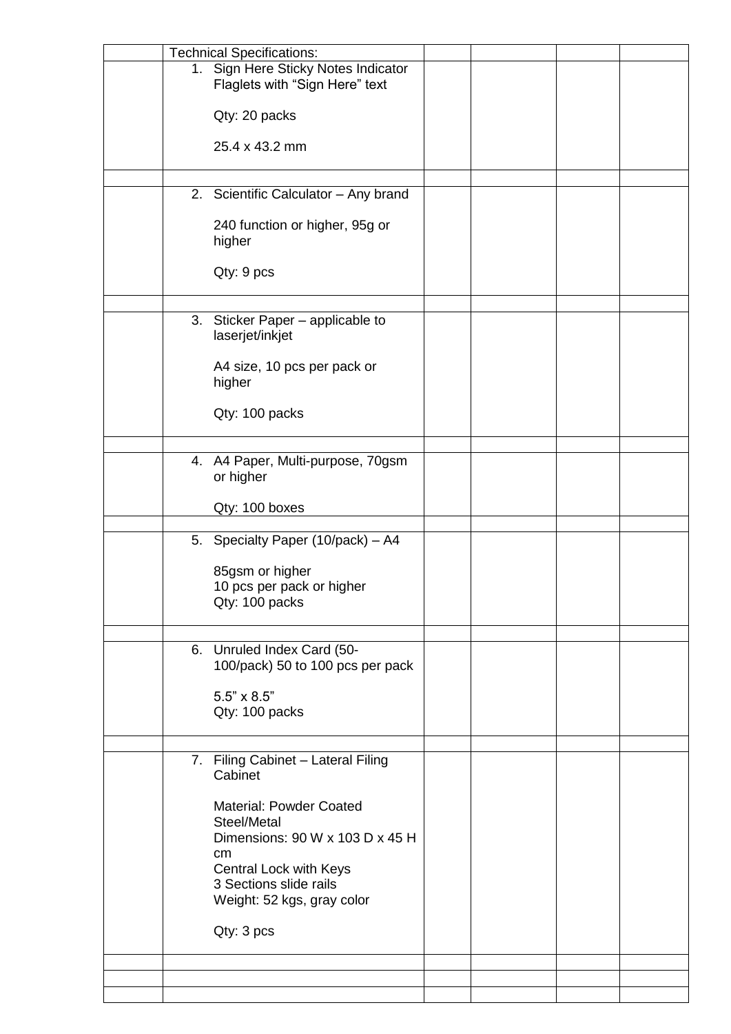|  | <b>Technical Specifications:</b>                                                 |  |  |
|--|----------------------------------------------------------------------------------|--|--|
|  | 1. Sign Here Sticky Notes Indicator<br>Flaglets with "Sign Here" text            |  |  |
|  | Qty: 20 packs                                                                    |  |  |
|  | 25.4 x 43.2 mm                                                                   |  |  |
|  |                                                                                  |  |  |
|  | 2. Scientific Calculator - Any brand                                             |  |  |
|  | 240 function or higher, 95g or<br>higher                                         |  |  |
|  | Qty: 9 pcs                                                                       |  |  |
|  |                                                                                  |  |  |
|  | 3. Sticker Paper - applicable to<br>laserjet/inkjet                              |  |  |
|  | A4 size, 10 pcs per pack or<br>higher                                            |  |  |
|  | Qty: 100 packs                                                                   |  |  |
|  |                                                                                  |  |  |
|  | 4. A4 Paper, Multi-purpose, 70gsm<br>or higher                                   |  |  |
|  | Qty: 100 boxes                                                                   |  |  |
|  | 5. Specialty Paper (10/pack) - A4                                                |  |  |
|  | 85gsm or higher<br>10 pcs per pack or higher<br>Qty: 100 packs                   |  |  |
|  | 6. Unruled Index Card (50-                                                       |  |  |
|  | 100/pack) 50 to 100 pcs per pack                                                 |  |  |
|  | $5.5" \times 8.5"$<br>Qty: 100 packs                                             |  |  |
|  | 7. Filing Cabinet - Lateral Filing                                               |  |  |
|  | Cabinet                                                                          |  |  |
|  | <b>Material: Powder Coated</b><br>Steel/Metal<br>Dimensions: 90 W x 103 D x 45 H |  |  |
|  | cm <sub>2</sub><br>Central Lock with Keys                                        |  |  |
|  | 3 Sections slide rails<br>Weight: 52 kgs, gray color                             |  |  |
|  | Qty: 3 pcs                                                                       |  |  |
|  |                                                                                  |  |  |
|  |                                                                                  |  |  |
|  |                                                                                  |  |  |